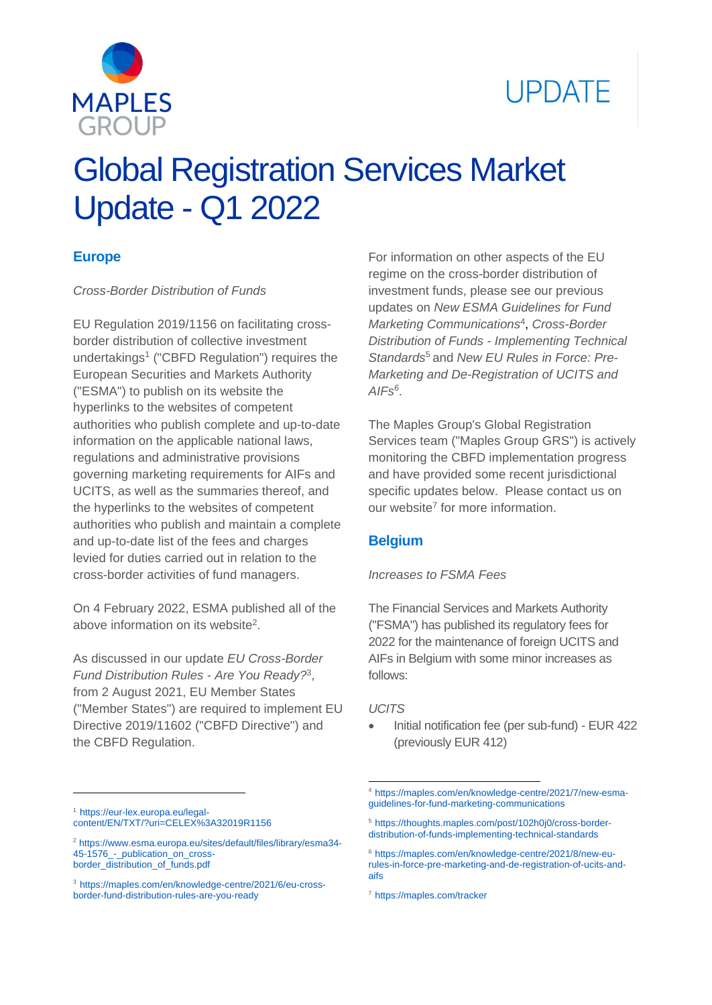



# Global Registration Services Market Update - Q1 2022

### **Europe**

*Cross-Border Distribution of Funds*

EU Regulation 2019/1156 on facilitating crossborder distribution of collective investment undertakings<sup>1</sup> ("CBFD Regulation") requires the European Securities and Markets Authority ("ESMA") to publish on its website the hyperlinks to the websites of competent authorities who publish complete and up-to-date information on the applicable national laws, regulations and administrative provisions governing marketing requirements for AIFs and UCITS, as well as the summaries thereof, and the hyperlinks to the websites of competent authorities who publish and maintain a complete and up-to-date list of the fees and charges levied for duties carried out in relation to the cross-border activities of fund managers.

On 4 February 2022, ESMA published all of the above information on its website<sup>2</sup>.

As discussed in our update *EU Cross-Border Fund Distribution Rules - Are You Ready?* 3 , from 2 August 2021, EU Member States ("Member States") are required to implement EU Directive 2019/11602 ("CBFD Directive") and the CBFD Regulation.

For information on other aspects of the EU regime on the cross-border distribution of investment funds, please see our previous updates on *New ESMA Guidelines for Fund Marketing Communications*<sup>4</sup> , *Cross-Border Distribution of Funds - Implementing Technical Standards*<sup>5</sup> and *New EU Rules in Force: Pre-Marketing and De-Registration of UCITS and AIFs<sup>6</sup>* .

The Maples Group's Global Registration Services team ("Maples Group GRS") is actively monitoring the CBFD implementation progress and have provided some recent jurisdictional specific updates below. Please contact us on our website<sup>7</sup> for more information.

#### **Belgium**

#### *Increases to FSMA Fees*

The Financial Services and Markets Authority ("FSMA") has published its regulatory fees for 2022 for the maintenance of foreign UCITS and AIFs in Belgium with some minor increases as follows:

#### *UCITS*

1

 Initial notification fee (per sub-fund) - EUR 422 (previously EUR 412)

 $\overline{a}$ 

<sup>1</sup> [https://eur-lex.europa.eu/legal](https://eur-lex.europa.eu/legal-content/EN/TXT/?uri=CELEX%3A32019R1156)[content/EN/TXT/?uri=CELEX%3A32019R1156](https://eur-lex.europa.eu/legal-content/EN/TXT/?uri=CELEX%3A32019R1156)

<sup>2</sup> [https://www.esma.europa.eu/sites/default/files/library/esma34-](https://www.esma.europa.eu/sites/default/files/library/esma34-45-1576_-_publication_on_cross-border_distribution_of_funds.pdf) [45-1576\\_-\\_publication\\_on\\_cross](https://www.esma.europa.eu/sites/default/files/library/esma34-45-1576_-_publication_on_cross-border_distribution_of_funds.pdf)[border\\_distribution\\_of\\_funds.pdf](https://www.esma.europa.eu/sites/default/files/library/esma34-45-1576_-_publication_on_cross-border_distribution_of_funds.pdf)

<sup>3</sup> [https://maples.com/en/knowledge-centre/2021/6/eu-cross](https://maples.com/en/knowledge-centre/2021/6/eu-cross-border-fund-distribution-rules-are-you-ready)[border-fund-distribution-rules-are-you-ready](https://maples.com/en/knowledge-centre/2021/6/eu-cross-border-fund-distribution-rules-are-you-ready)

<sup>4</sup> [https://maples.com/en/knowledge-centre/2021/7/new-esma](https://maples.com/en/knowledge-centre/2021/7/new-esma-guidelines-for-fund-marketing-communications)[guidelines-for-fund-marketing-communications](https://maples.com/en/knowledge-centre/2021/7/new-esma-guidelines-for-fund-marketing-communications)

<sup>5</sup> [https://thoughts.maples.com/post/102h0j0/cross-border](https://thoughts.maples.com/post/102h0j0/cross-border-distribution-of-funds-implementing-technical-standards)[distribution-of-funds-implementing-technical-standards](https://thoughts.maples.com/post/102h0j0/cross-border-distribution-of-funds-implementing-technical-standards)

<sup>6</sup> [https://maples.com/en/knowledge-centre/2021/8/new-eu](https://maples.com/en/knowledge-centre/2021/8/new-eu-rules-in-force-pre-marketing-and-de-registration-of-ucits-and-aifs)[rules-in-force-pre-marketing-and-de-registration-of-ucits-and](https://maples.com/en/knowledge-centre/2021/8/new-eu-rules-in-force-pre-marketing-and-de-registration-of-ucits-and-aifs)[aifs](https://maples.com/en/knowledge-centre/2021/8/new-eu-rules-in-force-pre-marketing-and-de-registration-of-ucits-and-aifs)

<sup>7</sup> <https://maples.com/tracker>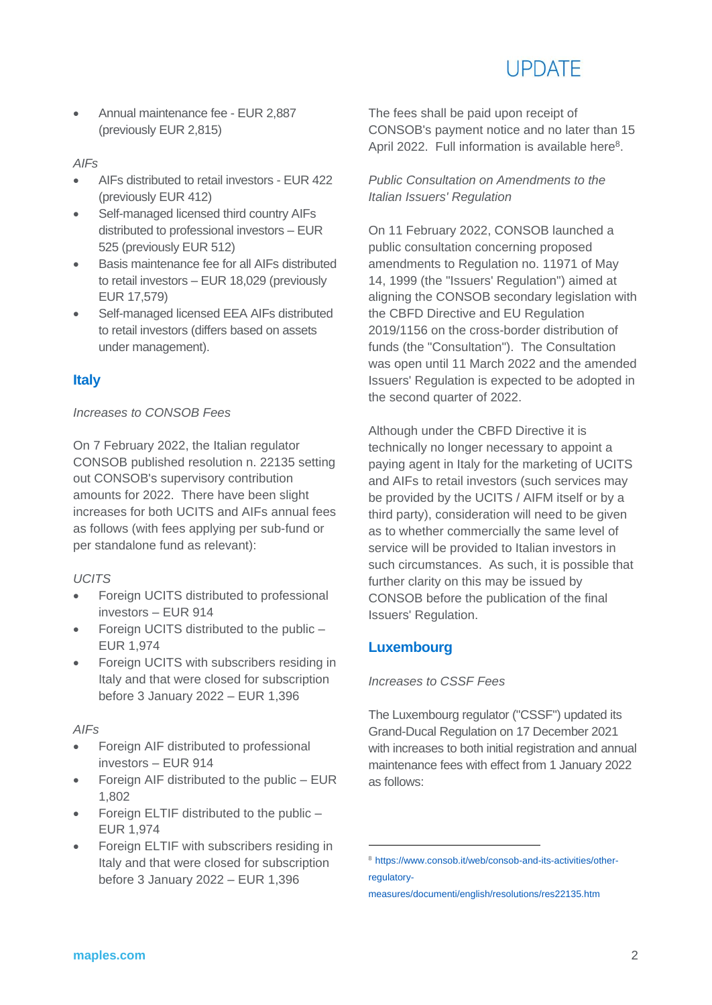# **UPDATE**

 Annual maintenance fee - EUR 2,887 (previously EUR 2,815)

#### *AIFs*

- AIFs distributed to retail investors EUR 422 (previously EUR 412)
- Self-managed licensed third country AIFs distributed to professional investors – EUR 525 (previously EUR 512)
- Basis maintenance fee for all AIFs distributed to retail investors – EUR 18,029 (previously EUR 17,579)
- Self-managed licensed EEA AIFs distributed to retail investors (differs based on assets under management).

## **Italy**

#### *Increases to CONSOB Fees*

On 7 February 2022, the Italian regulator CONSOB published resolution n. 22135 setting out CONSOB's supervisory contribution amounts for 2022. There have been slight increases for both UCITS and AIFs annual fees as follows (with fees applying per sub-fund or per standalone fund as relevant):

#### *UCITS*

- Foreign UCITS distributed to professional investors – EUR 914
- Foreign UCITS distributed to the public EUR 1,974
- Foreign UCITS with subscribers residing in Italy and that were closed for subscription before 3 January 2022 – EUR 1,396

#### *AIFs*

- Foreign AIF distributed to professional investors – EUR 914
- Foreign AIF distributed to the public EUR 1,802
- Foreign ELTIF distributed to the public EUR 1,974
- Foreign ELTIF with subscribers residing in Italy and that were closed for subscription before 3 January 2022 – EUR 1,396

The fees shall be paid upon receipt of CONSOB's payment notice and no later than 15 April 2022. Full information is available here<sup>8</sup>.

#### *Public Consultation on Amendments to the Italian Issuers' Regulation*

On 11 February 2022, CONSOB launched a public consultation concerning proposed amendments to Regulation no. 11971 of May 14, 1999 (the "Issuers' Regulation") aimed at aligning the CONSOB secondary legislation with the CBFD Directive and EU Regulation 2019/1156 on the cross-border distribution of funds (the "Consultation"). The Consultation was open until 11 March 2022 and the amended Issuers' Regulation is expected to be adopted in the second quarter of 2022.

Although under the CBFD Directive it is technically no longer necessary to appoint a paying agent in Italy for the marketing of UCITS and AIFs to retail investors (such services may be provided by the UCITS / AIFM itself or by a third party), consideration will need to be given as to whether commercially the same level of service will be provided to Italian investors in such circumstances. As such, it is possible that further clarity on this may be issued by CONSOB before the publication of the final Issuers' Regulation.

## **Luxembourg**

1

*Increases to CSSF Fees*

The Luxembourg regulator ("CSSF") updated its Grand-Ducal Regulation on 17 December 2021 with increases to both initial registration and annual maintenance fees with effect from 1 January 2022 as follows:

<sup>8</sup> [https://www.consob.it/web/consob-and-its-activities/other](https://www.consob.it/web/consob-and-its-activities/other-regulatory-measures/documenti/english/resolutions/res22135.htm)[regulatory-](https://www.consob.it/web/consob-and-its-activities/other-regulatory-measures/documenti/english/resolutions/res22135.htm)

[measures/documenti/english/resolutions/res22135.htm](https://www.consob.it/web/consob-and-its-activities/other-regulatory-measures/documenti/english/resolutions/res22135.htm)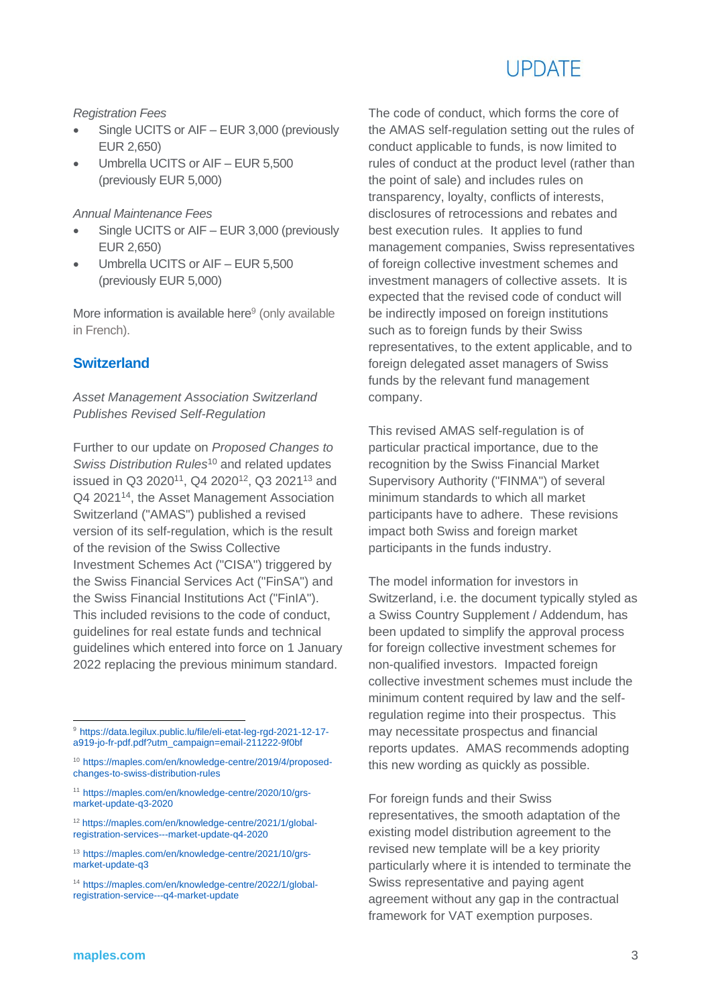# **UPDATE**

*Registration Fees*

- Single UCITS or AIF EUR 3,000 (previously EUR 2,650)
- Umbrella UCITS or AIF EUR 5,500 (previously EUR 5,000)

*Annual Maintenance Fees*

- Single UCITS or AIF EUR 3,000 (previously EUR 2,650)
- Umbrella UCITS or AIF EUR 5,500 (previously EUR 5,000)

More information is available here<sup>9</sup> (only available in French).

#### **Switzerland**

#### *Asset Management Association Switzerland Publishes Revised Self-Regulation*

Further to our update on *Proposed Changes to Swiss Distribution Rules*<sup>10</sup> and related updates issued in Q3 2020<sup>11</sup>, Q4 2020<sup>12</sup>, Q3 2021<sup>13</sup> and Q4 2021<sup>14</sup>, the Asset Management Association Switzerland ("AMAS") published a revised version of its self-regulation, which is the result of the revision of the Swiss Collective Investment Schemes Act ("CISA") triggered by the Swiss Financial Services Act ("FinSA") and the Swiss Financial Institutions Act ("FinIA"). This included revisions to the code of conduct, guidelines for real estate funds and technical guidelines which entered into force on 1 January 2022 replacing the previous minimum standard.

<sup>12</sup> [https://maples.com/en/knowledge-centre/2021/1/global](https://maples.com/en/knowledge-centre/2021/1/global-registration-services---market-update-q4-2020)[registration-services---market-update-q4-2020](https://maples.com/en/knowledge-centre/2021/1/global-registration-services---market-update-q4-2020)

The code of conduct, which forms the core of the AMAS self-regulation setting out the rules of conduct applicable to funds, is now limited to rules of conduct at the product level (rather than the point of sale) and includes rules on transparency, loyalty, conflicts of interests, disclosures of retrocessions and rebates and best execution rules. It applies to fund management companies, Swiss representatives of foreign collective investment schemes and investment managers of collective assets. It is expected that the revised code of conduct will be indirectly imposed on foreign institutions such as to foreign funds by their Swiss representatives, to the extent applicable, and to foreign delegated asset managers of Swiss funds by the relevant fund management company.

This revised AMAS self-regulation is of particular practical importance, due to the recognition by the Swiss Financial Market Supervisory Authority ("FINMA") of several minimum standards to which all market participants have to adhere. These revisions impact both Swiss and foreign market participants in the funds industry.

The model information for investors in Switzerland, i.e. the document typically styled as a Swiss Country Supplement / Addendum, has been updated to simplify the approval process for foreign collective investment schemes for non-qualified investors. Impacted foreign collective investment schemes must include the minimum content required by law and the selfregulation regime into their prospectus. This may necessitate prospectus and financial reports updates. AMAS recommends adopting this new wording as quickly as possible.

For foreign funds and their Swiss representatives, the smooth adaptation of the existing model distribution agreement to the revised new template will be a key priority particularly where it is intended to terminate the Swiss representative and paying agent agreement without any gap in the contractual framework for VAT exemption purposes.

 $\overline{a}$ 

<sup>9</sup> [https://data.legilux.public.lu/file/eli-etat-leg-rgd-2021-12-17](https://data.legilux.public.lu/file/eli-etat-leg-rgd-2021-12-17-a919-jo-fr-pdf.pdf?utm_campaign=email-211222-9f0bf) [a919-jo-fr-pdf.pdf?utm\\_campaign=email-211222-9f0bf](https://data.legilux.public.lu/file/eli-etat-leg-rgd-2021-12-17-a919-jo-fr-pdf.pdf?utm_campaign=email-211222-9f0bf)

<sup>10</sup> [https://maples.com/en/knowledge-centre/2019/4/proposed](https://maples.com/en/knowledge-centre/2019/4/proposed-changes-to-swiss-distribution-rules)[changes-to-swiss-distribution-rules](https://maples.com/en/knowledge-centre/2019/4/proposed-changes-to-swiss-distribution-rules)

<sup>11</sup> [https://maples.com/en/knowledge-centre/2020/10/grs](https://maples.com/en/knowledge-centre/2020/10/grs-market-update-q3-2020)[market-update-q3-2020](https://maples.com/en/knowledge-centre/2020/10/grs-market-update-q3-2020)

<sup>13</sup> [https://maples.com/en/knowledge-centre/2021/10/grs](https://maples.com/en/knowledge-centre/2021/10/grs-market-update-q3)[market-update-q3](https://maples.com/en/knowledge-centre/2021/10/grs-market-update-q3)

<sup>14</sup> [https://maples.com/en/knowledge-centre/2022/1/global](https://maples.com/en/knowledge-centre/2022/1/global-registration-service---q4-market-update)[registration-service---q4-market-update](https://maples.com/en/knowledge-centre/2022/1/global-registration-service---q4-market-update)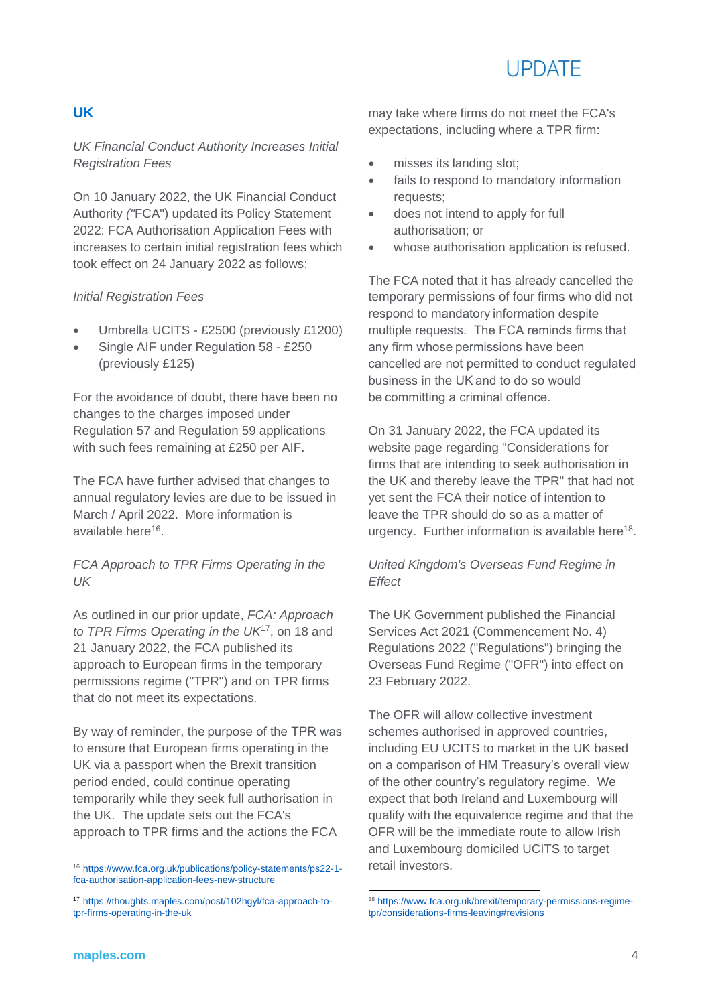# **UPDATE**

### **UK**

#### *UK Financial Conduct Authority Increases Initial Registration Fees*

On 10 January 2022, the UK Financial Conduct Authority *("*FCA") updated its Policy Statement 2022: FCA Authorisation Application Fees with increases to certain initial registration fees which took effect on 24 January 2022 as follows:

#### *Initial Registration Fees*

- Umbrella UCITS £2500 (previously £1200)
- Single AIF under Regulation 58 £250 (previously £125)

For the avoidance of doubt, there have been no changes to the charges imposed under Regulation 57 and Regulation 59 applications with such fees remaining at £250 per AIF.

The FCA have further advised that changes to annual regulatory levies are due to be issued in March / April 2022. More information is available here<sup>16</sup>.

#### *FCA Approach to TPR Firms Operating in the UK*

As outlined in our prior update, *FCA: Approach to TPR Firms Operating in the UK*<sup>17</sup> , on 18 and 21 January 2022, the FCA published its approach to European firms in the temporary permissions regime ("TPR") and on TPR firms that do not meet its expectations.

By way of reminder, the purpose of the TPR was to ensure that European firms operating in the UK via a passport when the Brexit transition period ended, could continue operating temporarily while they seek full authorisation in the UK. The update sets out the FCA's approach to TPR firms and the actions the FCA

may take where firms do not meet the FCA's expectations, including where a TPR firm:

- misses its landing slot;
- fails to respond to mandatory information requests;
- does not intend to apply for full authorisation; or
- whose authorisation application is refused.

The FCA noted that it has already cancelled the temporary permissions of four firms who did not respond to mandatory information despite multiple requests. The FCA reminds firms that any firm whose permissions have been cancelled are not permitted to conduct regulated business in the UK and to do so would be committing a criminal offence.

On 31 January 2022, the FCA updated its website page regarding "Considerations for firms that are intending to seek authorisation in the UK and thereby leave the TPR" that had not yet sent the FCA their notice of intention to leave the TPR should do so as a matter of urgency. Further information is available here<sup>18</sup>.

#### *United Kingdom's Overseas Fund Regime in Effect*

The UK Government published the Financial Services Act 2021 (Commencement No. 4) Regulations 2022 ("Regulations") bringing the Overseas Fund Regime ("OFR") into effect on 23 February 2022.

The OFR will allow collective investment schemes authorised in approved countries, including EU UCITS to market in the UK based on a comparison of HM Treasury's overall view of the other country's regulatory regime. We expect that both Ireland and Luxembourg will qualify with the equivalence regime and that the OFR will be the immediate route to allow Irish and Luxembourg domiciled UCITS to target retail investors.

 $\overline{a}$ <sup>16</sup> [https://www.fca.org.uk/publications/policy-statements/ps22-1](https://www.fca.org.uk/publications/policy-statements/ps22-1-fca-authorisation-application-fees-new-structure) [fca-authorisation-application-fees-new-structure](https://www.fca.org.uk/publications/policy-statements/ps22-1-fca-authorisation-application-fees-new-structure)

<sup>17</sup> [https://thoughts.maples.com/post/102hgyl/fca-approach-to](https://thoughts.maples.com/post/102hgyl/fca-approach-to-tpr-firms-operating-in-the-uk)[tpr-firms-operating-in-the-uk](https://thoughts.maples.com/post/102hgyl/fca-approach-to-tpr-firms-operating-in-the-uk)

<sup>-</sup><sup>18</sup> [https://www.fca.org.uk/brexit/temporary-permissions-regime](https://www.fca.org.uk/brexit/temporary-permissions-regime-tpr/considerations-firms-leaving#revisions)[tpr/considerations-firms-leaving#revisions](https://www.fca.org.uk/brexit/temporary-permissions-regime-tpr/considerations-firms-leaving#revisions)